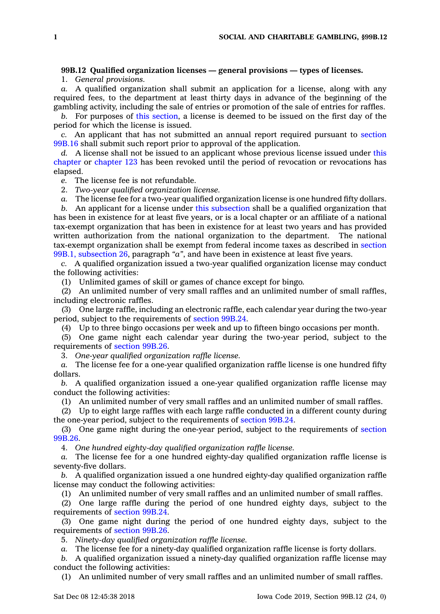## **99B.12 Qualified organization licenses — general provisions — types of licenses.**

1. *General provisions.*

*a.* A qualified organization shall submit an application for <sup>a</sup> license, along with any required fees, to the department at least thirty days in advance of the beginning of the gambling activity, including the sale of entries or promotion of the sale of entries for raffles.

*b.* For purposes of this [section](https://www.legis.iowa.gov/docs/code/99B.12.pdf), <sup>a</sup> license is deemed to be issued on the first day of the period for which the license is issued.

*c.* An applicant that has not submitted an annual report required pursuant to [section](https://www.legis.iowa.gov/docs/code/99B.16.pdf) [99B.16](https://www.legis.iowa.gov/docs/code/99B.16.pdf) shall submit such report prior to approval of the application.

*d.* A license shall not be issued to an applicant whose previous license issued under [this](https://www.legis.iowa.gov/docs/code//99B.pdf) [chapter](https://www.legis.iowa.gov/docs/code//99B.pdf) or [chapter](https://www.legis.iowa.gov/docs/code//123.pdf) 123 has been revoked until the period of revocation or revocations has elapsed.

*e.* The license fee is not refundable.

2. *Two-year qualified organization license.*

*a.* The license fee for <sup>a</sup> two-year qualified organization license is one hundred fifty dollars.

*b.* An applicant for <sup>a</sup> license under this [subsection](https://www.legis.iowa.gov/docs/code/99B.12.pdf) shall be <sup>a</sup> qualified organization that has been in existence for at least five years, or is <sup>a</sup> local chapter or an affiliate of <sup>a</sup> national tax-exempt organization that has been in existence for at least two years and has provided written authorization from the national organization to the department. The national tax-exempt organization shall be exempt from federal income taxes as described in [section](https://www.legis.iowa.gov/docs/code/99B.1.pdf) 99B.1, [subsection](https://www.legis.iowa.gov/docs/code/99B.1.pdf) 26, paragraph *"a"*, and have been in existence at least five years.

*c.* A qualified organization issued <sup>a</sup> two-year qualified organization license may conduct the following activities:

(1) Unlimited games of skill or games of chance except for bingo.

(2) An unlimited number of very small raffles and an unlimited number of small raffles, including electronic raffles.

(3) One large raffle, including an electronic raffle, each calendar year during the two-year period, subject to the requirements of [section](https://www.legis.iowa.gov/docs/code/99B.24.pdf) 99B.24.

(4) Up to three bingo occasions per week and up to fifteen bingo occasions per month.

(5) One game night each calendar year during the two-year period, subject to the requirements of [section](https://www.legis.iowa.gov/docs/code/99B.26.pdf) 99B.26.

3. *One-year qualified organization raffle license.*

*a.* The license fee for <sup>a</sup> one-year qualified organization raffle license is one hundred fifty dollars.

*b.* A qualified organization issued <sup>a</sup> one-year qualified organization raffle license may conduct the following activities:

(1) An unlimited number of very small raffles and an unlimited number of small raffles.

(2) Up to eight large raffles with each large raffle conducted in <sup>a</sup> different county during the one-year period, subject to the requirements of [section](https://www.legis.iowa.gov/docs/code/99B.24.pdf) 99B.24.

(3) One game night during the one-year period, subject to the requirements of [section](https://www.legis.iowa.gov/docs/code/99B.26.pdf) [99B.26](https://www.legis.iowa.gov/docs/code/99B.26.pdf).

4. *One hundred eighty-day qualified organization raffle license.*

*a.* The license fee for <sup>a</sup> one hundred eighty-day qualified organization raffle license is seventy-five dollars.

*b.* A qualified organization issued <sup>a</sup> one hundred eighty-day qualified organization raffle license may conduct the following activities:

(1) An unlimited number of very small raffles and an unlimited number of small raffles.

(2) One large raffle during the period of one hundred eighty days, subject to the requirements of [section](https://www.legis.iowa.gov/docs/code/99B.24.pdf) 99B.24.

(3) One game night during the period of one hundred eighty days, subject to the requirements of [section](https://www.legis.iowa.gov/docs/code/99B.26.pdf) 99B.26.

5. *Ninety-day qualified organization raffle license.*

*a.* The license fee for <sup>a</sup> ninety-day qualified organization raffle license is forty dollars.

*b.* A qualified organization issued <sup>a</sup> ninety-day qualified organization raffle license may conduct the following activities:

(1) An unlimited number of very small raffles and an unlimited number of small raffles.